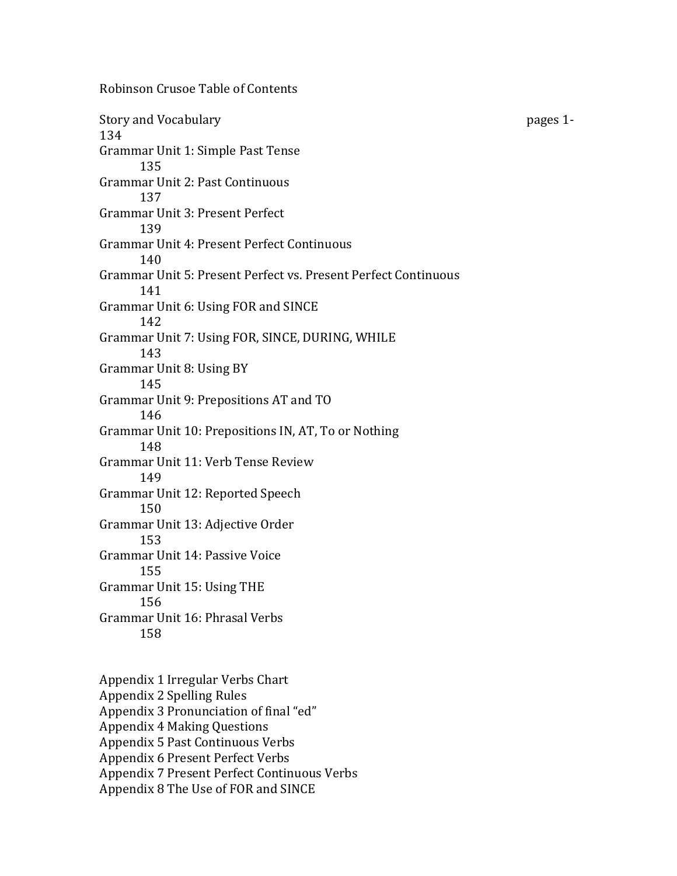Story and Vocabulary '''''' ''' and ''' '''' and ''' and ''' ''' and ''' ''' and '' ''' '' '' '' '' '' '' '' '' 134 Grammar Unit 1: Simple Past Tense 135 Grammar Unit 2: Past Continuous 137 Grammar Unit 3: Present Perfect 139 Grammar Unit 4: Present Perfect Continuous 140' Grammar Unit 5: Present Perfect vs. Present Perfect Continuous 141 Grammar Unit 6: Using FOR and SINCE 142 Grammar Unit 7: Using FOR, SINCE, DURING, WHILE 143 Grammar Unit 8: Using BY 145 Grammar Unit 9: Prepositions AT and TO 146 Grammar Unit 10: Prepositions IN, AT, To or Nothing 148 Grammar Unit 11: Verb Tense Review 149 Grammar Unit 12: Reported Speech 150 Grammar Unit 13: Adjective Order 153 Grammar Unit 14: Passive Voice 155 Grammar Unit 15: Using THE 156 Grammar Unit 16: Phrasal Verbs 158

Robinson Crusoe Table of Contents

Appendix 1 Irregular Verbs Chart Appendix 2 Spelling Rules Appendix 3 Pronunciation of final "ed" Appendix 4 Making Questions Appendix 5 Past Continuous Verbs Appendix 6 Present Perfect Verbs Appendix 7 Present Perfect Continuous Verbs Appendix 8 The Use of FOR and SINCE